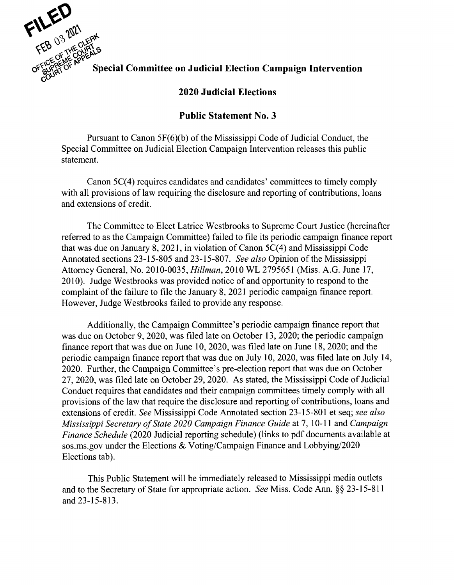

## Special Committee on Judicial Election Campaign Intervention

## **2020 Judicial Elections**

## **Public Statement No. 3**

Pursuant to Canon 5F(6)(b) of the Mississippi Code of Judicial Conduct, the Special Committee on Judicial Election Campaign Intervention releases this public statement.

Canon 5C(4) requires candidates and candidates' committees to timely comply with all provisions of law requiring the disclosure and reporting of contributions, loans and extensions of credit.

The Committee to Elect Latrice Westbrooks to Supreme Court Justice (hereinafter referred to as the Campaign Committee) failed to file its periodic campaign finance report that was due on January 8, 2021, in violation of Canon 5C(4) and Mississippi Code Annotated sections 23-15-805 and 23-15-807. *See also* Opinion of the Mississippi Attorney General, No. 2010-0035, *Hillman,* 2010 WL 2795651 (Miss. A.G. June 17, 2010). Judge Westbrooks was provided notice of and opportunity to respond to the complaint of the failure to file the January 8, 2021 periodic campaign finance report. However, Judge Westbrooks failed to provide any response.

Additionally, the Campaign Committee's periodic campaign finance report that was due on October 9, 2020, was filed late on October 13, 2020; the periodic campaign finance report that was due on June 10, 2020, was filed late on June 18, 2020; and the periodic campaign finance report that was due on July 10, 2020, was filed late on July 14, 2020. Further, the Campaign Committee's pre-election report that was due on October 27, 2020, was filed late on October 29, 2020. As stated, the Mississippi Code of Judicial Conduct requires that candidates and their campaign committees timely comply with all provisions of the law that require the disclosure and reporting of contributions, loans and extensions of credit. *See* Mississippi Code Annotated section 23-15-801 et seq; *see also Mississippi Secretary of State 2020 Campaign Finance Guide* at 7, 10-11 and *Campaign Finance Schedule* (2020 Judicial reporting schedule) (links to pdf documents available at sos.ms.gov under the Elections & Voting/Campaign Finance and Lobbying/2020 Elections tab).

This Public Statement will be immediately released to Mississippi media outlets and to the Secretary of State for appropriate action. *See* Miss. Code Ann. § § 23-15-811 and 23-15-813.